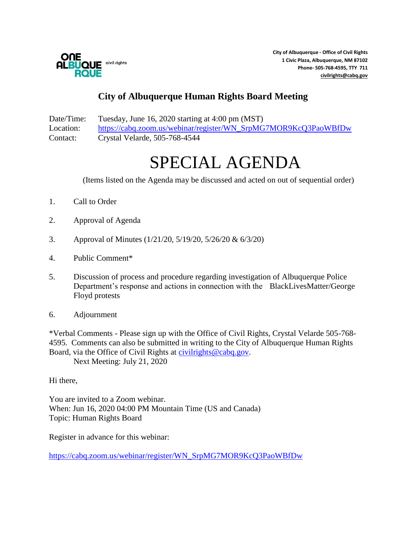

**City of Albuquerque - Office of Civil Rights 1 Civic Plaza, Albuquerque, NM 87102 Phone- 505-768-4595, TTY 711 [civilrights@cabq.gov](mailto:civilrights@cabq.gov)**

## **City of Albuquerque Human Rights Board Meeting**

Date/Time: Tuesday, June 16, 2020 starting at 4:00 pm (MST) Location: [https://cabq.zoom.us/webinar/register/WN\\_SrpMG7MOR9KcQ3PaoWBfDw](https://cabq.zoom.us/webinar/register/WN_SrpMG7MOR9KcQ3PaoWBfDw) Contact: Crystal Velarde, 505-768-4544

## SPECIAL AGENDA

(Items listed on the Agenda may be discussed and acted on out of sequential order)

- 1. Call to Order
- 2. Approval of Agenda
- 3. Approval of Minutes (1/21/20, 5/19/20, 5/26/20 & 6/3/20)
- 4. Public Comment\*
- 5. Discussion of process and procedure regarding investigation of Albuquerque Police Department's response and actions in connection with the BlackLivesMatter/George Floyd protests
- 6. Adjournment

\*Verbal Comments - Please sign up with the Office of Civil Rights, Crystal Velarde 505-768- 4595. Comments can also be submitted in writing to the City of Albuquerque Human Rights Board, via the Office of Civil Rights at [civilrights@cabq.gov.](mailto:oei@cabq.gov) Next Meeting: July 21, 2020

Hi there,

You are invited to a Zoom webinar. When: Jun 16, 2020 04:00 PM Mountain Time (US and Canada) Topic: Human Rights Board

Register in advance for this webinar:

[https://cabq.zoom.us/webinar/register/WN\\_SrpMG7MOR9KcQ3PaoWBfDw](https://cabq.zoom.us/webinar/register/WN_SrpMG7MOR9KcQ3PaoWBfDw)